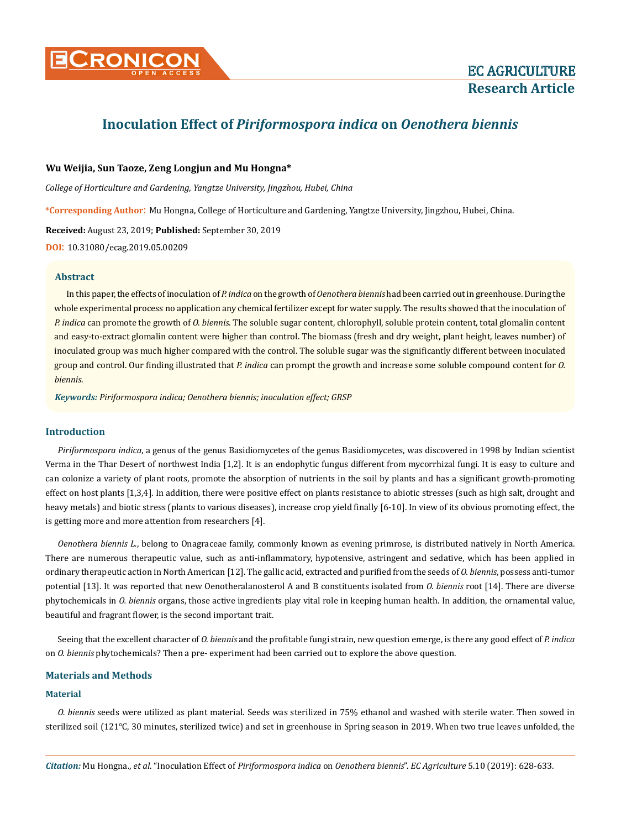

# **Inoculation Effect of** *Piriformospora indica* **on** *Oenothera biennis*

## **Wu Weijia, Sun Taoze, Zeng Longjun and Mu Hongna\***

*College of Horticulture and Gardening, Yangtze University, Jingzhou, Hubei, China*

**\*Corresponding Author**: Mu Hongna, College of Horticulture and Gardening, Yangtze University, Jingzhou, Hubei, China.

**Received:** August 23, 2019; **Published:** September 30, 2019

**DOI**: 10.31080/ecag.2019.05.00209

### **Abstract**

In this paper, the effects of inoculation of *P. indica* on the growth of *Oenothera biennis* had been carried out in greenhouse. During the whole experimental process no application any chemical fertilizer except for water supply. The results showed that the inoculation of *P. indica* can promote the growth of *O. biennis*. The soluble sugar content, chlorophyll, soluble protein content, total glomalin content and easy-to-extract glomalin content were higher than control. The biomass (fresh and dry weight, plant height, leaves number) of inoculated group was much higher compared with the control. The soluble sugar was the significantly different between inoculated group and control. Our finding illustrated that *P. indica* can prompt the growth and increase some soluble compound content for *O. biennis*.

*Keywords: Piriformospora indica; Oenothera biennis; inoculation effect; GRSP*

### **Introduction**

*Piriformospora indica*, a genus of the genus Basidiomycetes of the genus Basidiomycetes, was discovered in 1998 by Indian scientist Verma in the Thar Desert of northwest India [1,2]. It is an endophytic fungus different from mycorrhizal fungi. It is easy to culture and can colonize a variety of plant roots, promote the absorption of nutrients in the soil by plants and has a significant growth-promoting effect on host plants [1,3,4]. In addition, there were positive effect on plants resistance to abiotic stresses (such as high salt, drought and heavy metals) and biotic stress (plants to various diseases), increase crop yield finally [6-10]. In view of its obvious promoting effect, the is getting more and more attention from researchers [4].

*Oenothera biennis L.*, belong to Onagraceae family, commonly known as evening primrose, is distributed natively in North America. There are numerous therapeutic value, such as anti-inflammatory, hypotensive, astringent and sedative, which has been applied in ordinary therapeutic action in North American [12]. The gallic acid, extracted and purified from the seeds of *O. biennis*, possess anti-tumor potential [13]. It was reported that new Oenotheralanosterol A and B constituents isolated from *O. biennis* root [14]. There are diverse phytochemicals in *O. biennis* organs, those active ingredients play vital role in keeping human health. In addition, the ornamental value, beautiful and fragrant flower, is the second important trait.

Seeing that the excellent character of *O. biennis* and the profitable fungi strain, new question emerge, is there any good effect of *P. indica* on *O. biennis* phytochemicals? Then a pre- experiment had been carried out to explore the above question.

#### **Materials and Methods**

## **Material**

*O. biennis* seeds were utilized as plant material. Seeds was sterilized in 75% ethanol and washed with sterile water. Then sowed in sterilized soil (121℃, 30 minutes, sterilized twice) and set in greenhouse in Spring season in 2019. When two true leaves unfolded, the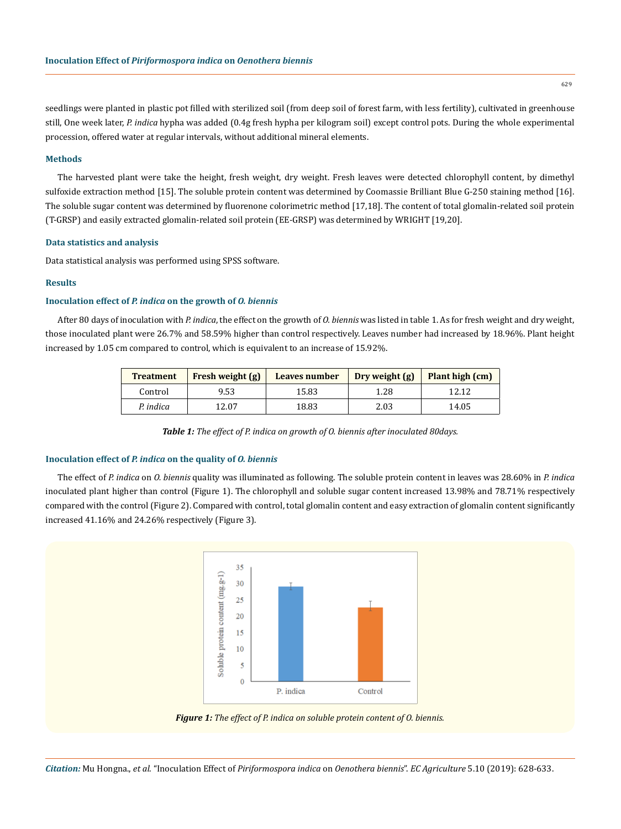seedlings were planted in plastic pot filled with sterilized soil (from deep soil of forest farm, with less fertility), cultivated in greenhouse still, One week later, *P. indica* hypha was added (0.4g fresh hypha per kilogram soil) except control pots. During the whole experimental procession, offered water at regular intervals, without additional mineral elements.

#### **Methods**

The harvested plant were take the height, fresh weight, dry weight. Fresh leaves were detected chlorophyll content, by dimethyl sulfoxide extraction method [15]. The soluble protein content was determined by Coomassie Brilliant Blue G-250 staining method [16]. The soluble sugar content was determined by fluorenone colorimetric method [17,18]. The content of total glomalin-related soil protein (T-GRSP) and easily extracted glomalin-related soil protein (EE-GRSP) was determined by WRIGHT [19,20].

#### **Data statistics and analysis**

Data statistical analysis was performed using SPSS software.

#### **Results**

## **Inoculation effect of** *P. indica* **on the growth of** *O. biennis*

After 80 days of inoculation with *P. indica*, the effect on the growth of *O. biennis* was listed in table 1. As for fresh weight and dry weight, those inoculated plant were 26.7% and 58.59% higher than control respectively. Leaves number had increased by 18.96%. Plant height increased by 1.05 cm compared to control, which is equivalent to an increase of 15.92%.

| <b>Treatment</b> | Fresh weight (g) | Leaves number | Dry weight $(g)$ | Plant high (cm) |
|------------------|------------------|---------------|------------------|-----------------|
| Control          | 9.53             | 15.83         | 1.28             | 12.12           |
| P. indica        | 12.07            | 18.83         | 2.03             | 14.05           |

*Table 1: The effect of P. indica on growth of O. biennis after inoculated 80days.*

## **Inoculation effect of** *P. indica* **on the quality of** *O. biennis*

The effect of *P. indica* on *O. biennis* quality was illuminated as following. The soluble protein content in leaves was 28.60% in *P. indica* inoculated plant higher than control (Figure 1). The chlorophyll and soluble sugar content increased 13.98% and 78.71% respectively compared with the control (Figure 2). Compared with control, total glomalin content and easy extraction of glomalin content significantly increased 41.16% and 24.26% respectively (Figure 3).



*Figure 1: The effect of P. indica on soluble protein content of O. biennis.* 

*Citation:* Mu Hongna., *et al*. "Inoculation Effect of *Piriformospora indica* on *Oenothera biennis*". *EC Agriculture* 5.10 (2019): 628-633.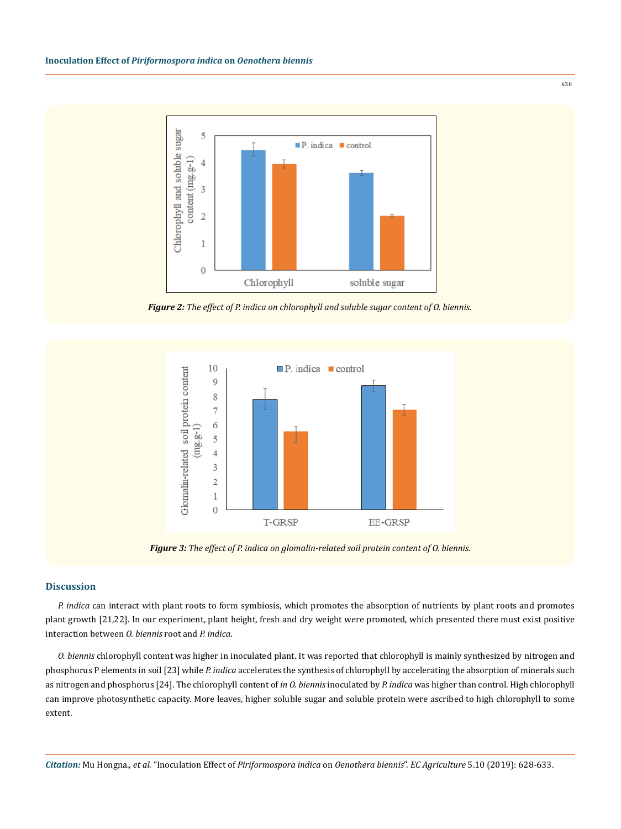

*Figure 2: The effect of P. indica on chlorophyll and soluble sugar content of O. biennis.* 



*Figure 3: The effect of P. indica on glomalin-related soil protein content of O. biennis.* 

# **Discussion**

*P. indica* can interact with plant roots to form symbiosis, which promotes the absorption of nutrients by plant roots and promotes plant growth [21,22]. In our experiment, plant height, fresh and dry weight were promoted, which presented there must exist positive interaction between *O. biennis* root and *P. indica*.

*O. biennis* chlorophyll content was higher in inoculated plant. It was reported that chlorophyll is mainly synthesized by nitrogen and phosphorus P elements in soil [23] while *P. indica* accelerates the synthesis of chlorophyll by accelerating the absorption of minerals such as nitrogen and phosphorus [24]. The chlorophyll content of *in O. biennis* inoculated by *P. indica* was higher than control. High chlorophyll can improve photosynthetic capacity. More leaves, higher soluble sugar and soluble protein were ascribed to high chlorophyll to some extent.

*Citation:* Mu Hongna., *et al*. "Inoculation Effect of *Piriformospora indica* on *Oenothera biennis*". *EC Agriculture* 5.10 (2019): 628-633.

630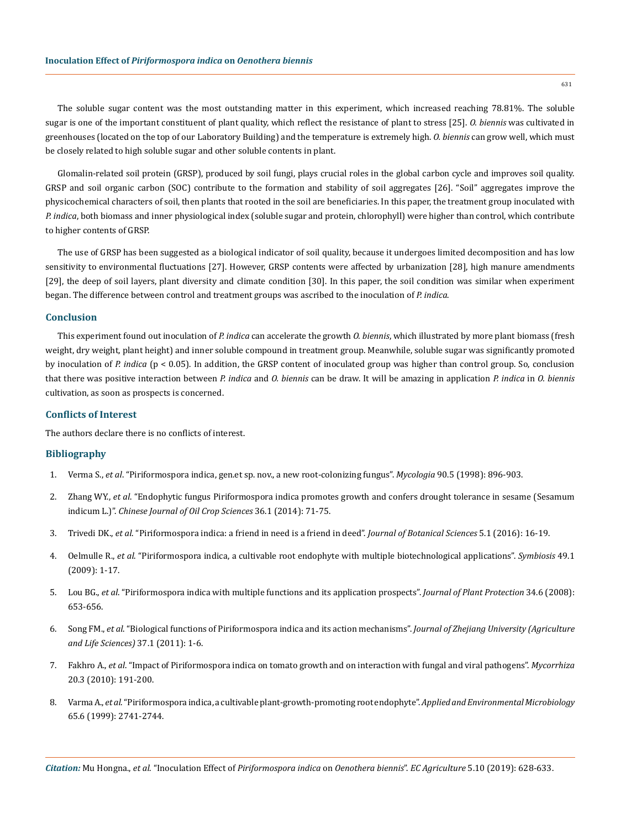The soluble sugar content was the most outstanding matter in this experiment, which increased reaching 78.81%. The soluble sugar is one of the important constituent of plant quality, which reflect the resistance of plant to stress [25]. *O. biennis* was cultivated in greenhouses (located on the top of our Laboratory Building) and the temperature is extremely high. *O. biennis* can grow well, which must be closely related to high soluble sugar and other soluble contents in plant.

Glomalin-related soil protein (GRSP), produced by soil fungi, plays crucial roles in the global carbon cycle and improves soil quality. GRSP and soil organic carbon (SOC) contribute to the formation and stability of soil aggregates [26]. "Soil" aggregates improve the physicochemical characters of soil, then plants that rooted in the soil are beneficiaries. In this paper, the treatment group inoculated with *P. indica*, both biomass and inner physiological index (soluble sugar and protein, chlorophyll) were higher than control, which contribute to higher contents of GRSP.

The use of GRSP has been suggested as a biological indicator of soil quality, because it undergoes limited decomposition and has low sensitivity to environmental fluctuations [27]. However, GRSP contents were affected by urbanization [28], high manure amendments [29], the deep of soil layers, plant diversity and climate condition [30]. In this paper, the soil condition was similar when experiment began. The difference between control and treatment groups was ascribed to the inoculation of *P. indica*.

## **Conclusion**

This experiment found out inoculation of *P. indica* can accelerate the growth *O. biennis*, which illustrated by more plant biomass (fresh weight, dry weight, plant height) and inner soluble compound in treatment group. Meanwhile, soluble sugar was significantly promoted by inoculation of *P. indica* (p < 0.05). In addition, the GRSP content of inoculated group was higher than control group. So, conclusion that there was positive interaction between *P. indica* and *O. biennis* can be draw. It will be amazing in application *P. indica* in *O. biennis* cultivation, as soon as prospects is concerned.

## **Conflicts of Interest**

The authors declare there is no conflicts of interest.

## **Bibliography**

- 1. Verma S., *et al*[. "Piriformospora indica, gen.et sp. nov., a new root-colonizing fungus".](https://www.tandfonline.com/doi/abs/10.1080/00275514.1998.12026983) *Mycologia* 90.5 (1998): 896-903.
- 2. Zhang WY., *et al*. "Endophytic fungus Piriformospora indica promotes growth and confers drought tolerance in sesame (Sesamum indicum L.)". *Chinese Journal of Oil Crop Sciences* 36.1 (2014): 71-75.
- 3. Trivedi DK., *et al*[. "Piriformospora indica: a friend in need is a friend in deed".](https://pdfs.semanticscholar.org/6c47/1f8a5b62b0232d75e9d53ccdf13b7a92bbb4.pdf) *Journal of Botanical Sciences* 5.1 (2016): 16-19.
- 4. Oelmulle R., *et al*[. "Piriformospora indica, a cultivable root endophyte with multiple biotechnological applications".](https://link.springer.com/article/10.1007/s13199-009-0009-y) *Symbiosis* 49.1 [\(2009\): 1-17.](https://link.springer.com/article/10.1007/s13199-009-0009-y)
- 5. Lou BG., *et al*[. "Piriformospora indica with multiple functions and its application prospects".](http://agris.fao.org/agris-search/search.do?recordID=CN2008001838) *Journal of Plant Protection* 34.6 (2008): [653-656.](http://agris.fao.org/agris-search/search.do?recordID=CN2008001838)
- 6. Song FM., *et al*[. "Biological functions of Piriformospora indica and its action mechanisms".](http://www.zjujournals.com/agr/EN/Y2011/V37/I1/1) *Journal of Zhejiang University (Agriculture [and Life Sciences\)](http://www.zjujournals.com/agr/EN/Y2011/V37/I1/1)* 37.1 (2011): 1-6.
- 7. Fakhro A., *et al*[. "Impact of Piriformospora indica on tomato growth and on interaction with fungal and viral pathogens".](https://www.ncbi.nlm.nih.gov/pubmed/19789897) *Mycorrhiza* [20.3 \(2010\): 191-200.](https://www.ncbi.nlm.nih.gov/pubmed/19789897)
- 8. Varma A., *et al*[. "Piriformospora indica, a cultivable plant-growth-promoting root endophyte".](https://www.ncbi.nlm.nih.gov/pmc/articles/PMC91405/) *Applied and Environmental Microbiology* [65.6 \(1999\): 2741-2744.](https://www.ncbi.nlm.nih.gov/pmc/articles/PMC91405/)

*Citation:* Mu Hongna., *et al*. "Inoculation Effect of *Piriformospora indica* on *Oenothera biennis*". *EC Agriculture* 5.10 (2019): 628-633.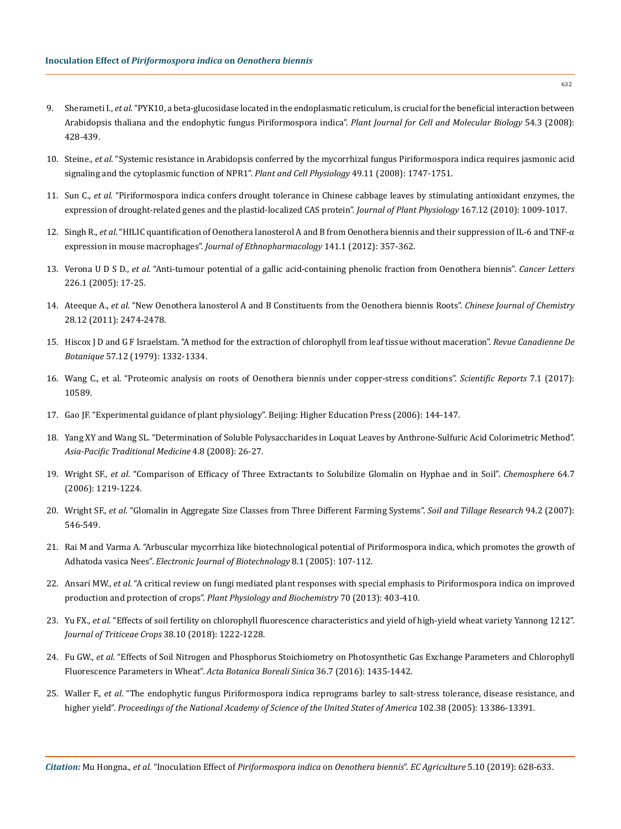- 9. Sherameti I., *et al*[. "PYK10, a beta-glucosidase located in the endoplasmatic reticulum, is crucial for the beneficial interaction between](https://www.ncbi.nlm.nih.gov/pubmed/18248598)  [Arabidopsis thaliana and the endophytic fungus Piriformospora indica".](https://www.ncbi.nlm.nih.gov/pubmed/18248598) *Plant Journal for Cell and Molecular Biology* 54.3 (2008): [428-439.](https://www.ncbi.nlm.nih.gov/pubmed/18248598)
- 10. Steine., *et al*[. "Systemic resistance in Arabidopsis conferred by the mycorrhizal fungus Piriformospora indica requires jasmonic acid](https://www.ncbi.nlm.nih.gov/pubmed/18842596)  [signaling and the cytoplasmic function of NPR1".](https://www.ncbi.nlm.nih.gov/pubmed/18842596) *Plant and Cell Physiology* 49.11 (2008): 1747-1751.
- 11. Sun C., *et al*[. "Piriformospora indica confers drought tolerance in Chinese cabbage leaves by stimulating antioxidant enzymes, the](https://www.ncbi.nlm.nih.gov/pubmed/20471134)  [expression of drought-related genes and the plastid-localized CAS protein".](https://www.ncbi.nlm.nih.gov/pubmed/20471134) *Journal of Plant Physiology* 167.12 (2010): 1009-1017.
- 12. Singh R., *et al*[. "HILIC quantification of Oenothera lanosterol A and B from Oenothera biennis and their suppression of IL-6 and TNF-α](https://www.ncbi.nlm.nih.gov/pubmed/22414479)  expression in mouse macrophages". *[Journal of Ethnopharmacology](https://www.ncbi.nlm.nih.gov/pubmed/22414479)* 141.1 (2012): 357-362.
- 13. Verona U D S D., *et al*[. "Anti-tumour potential of a gallic acid-containing phenolic fraction from Oenothera biennis".](https://www.ncbi.nlm.nih.gov/pubmed/16004929) *Cancer Letters* [226.1 \(2005\): 17-25.](https://www.ncbi.nlm.nih.gov/pubmed/16004929)
- 14. Ateeque A., *et al*[. "New Oenothera lanosterol A and B Constituents from the Oenothera biennis Roots".](https://onlinelibrary.wiley.com/doi/abs/10.1002/cjoc.201190024) *Chinese Journal of Chemistry* [28.12 \(2011\): 2474-2478.](https://onlinelibrary.wiley.com/doi/abs/10.1002/cjoc.201190024)
- 15. Hiscox J D and G F Israelstam. "A method for the extraction of chlorophyll from leaf tissue without maceration". *Revue Canadienne De Botanique* 57.12 (1979): 1332-1334.
- 16. [Wang C., et al. "Proteomic analysis on roots of Oenothera biennis under copper-stress conditions".](https://www.ncbi.nlm.nih.gov/pubmed/28878286) *Scientific Reports* 7.1 (2017): [10589.](https://www.ncbi.nlm.nih.gov/pubmed/28878286)
- 17. Gao JF. "Experimental guidance of plant physiology". Beijing: Higher Education Press (2006): 144-147.
- 18. Yang XY and Wang SL. "Determination of Soluble Polysaccharides in Loquat Leaves by Anthrone-Sulfuric Acid Colorimetric Method". *Asia-Pacific Traditional Medicine* 4.8 (2008): 26-27.
- 19. Wright SF., *et al*[. "Comparison of Efficacy of Three Extractants to Solubilize Glomalin on Hyphae and in Soil".](https://www.ncbi.nlm.nih.gov/pubmed/16403563) *Chemosphere* 64.7 [\(2006\): 1219-1224.](https://www.ncbi.nlm.nih.gov/pubmed/16403563)
- 20. Wright SF., *et al*[. "Glomalin in Aggregate Size Classes from Three Different Farming Systems".](https://www.sciencedirect.com/science/article/pii/S0167198706001887) *Soil and Tillage Research* 94.2 (2007): [546-549.](https://www.sciencedirect.com/science/article/pii/S0167198706001887)
- 21. [Rai M and Varma A. "Arbuscular mycorrhiza like biotechnological potential of Piriformospora indica, which promotes the growth of](http://www.ejbiotechnology.info/index.php/ejbiotechnology/article/view/v8n1-5/440)  Adhatoda vasica Nees". *[Electronic Journal of Biotechnology](http://www.ejbiotechnology.info/index.php/ejbiotechnology/article/view/v8n1-5/440)* 8.1 (2005): 107-112.
- 22. Ansari MW., *et al*[. "A critical review on fungi mediated plant responses with special emphasis to Piriformospora indica on improved](https://www.ncbi.nlm.nih.gov/pubmed/23831950)  production and protection of crops". *[Plant Physiology and Biochemistry](https://www.ncbi.nlm.nih.gov/pubmed/23831950)* 70 (2013): 403-410.
- 23. Yu FX., *et al*. "Effects of soil fertility on chlorophyll fluorescence characteristics and yield of high-yield wheat variety Yannong 1212". *Journal of Triticeae Crops* 38.10 (2018): 1222-1228.
- 24. Fu GW., *et al*[. "Effects of Soil Nitrogen and Phosphorus Stoichiometry on Photosynthetic Gas Exchange Parameters and Chlorophyll](http://en.cnki.com.cn/Article_en/CJFDTotal-DNYX201607020.htm)  [Fluorescence Parameters in Wheat".](http://en.cnki.com.cn/Article_en/CJFDTotal-DNYX201607020.htm) *Acta Botanica Boreali Sinica* 36.7 (2016): 1435-1442.
- 25. Waller F., *et al*[. "The endophytic fungus Piriformospora indica reprograms barley to salt-stress tolerance, disease resistance, and](https://www.pnas.org/content/102/38/13386)  higher yield". *[Proceedings of the National Academy of Science of the United States of America](https://www.pnas.org/content/102/38/13386)* 102.38 (2005): 13386-13391.